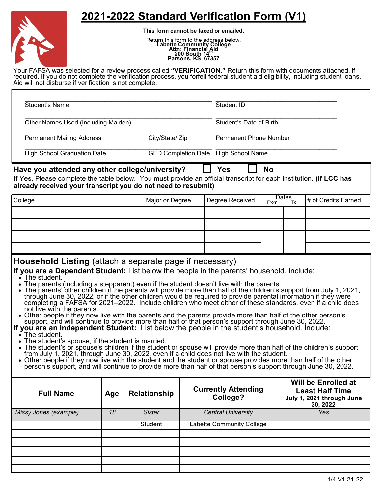## **2021-2022 Standard Verification Form (V1)**



**This form cannot be faxed or emailed**.

Return this form to the address below.<br> **Labette Community College**<br> **Attn: Financial Aid<br>
200 South 14<sup>th</sup><br>
Parsons, KS 67357** 

Your FAFSA was selected for a review process called **"VERIFICATION."** Return this form with documents attached, if required. If you do not complete the verification process, you forfeit federal student aid eligibility, including student loans. Aid will not disburse if verification is not complete.

| <b>Student's Name</b>                                                                                                                                                                                                                                                                                                                                                                                                                                                                                                                                                                                                                                                                                                                                                                                                                                                                                                                                                                                                                                                                                                                                                                                                                                                                                                                                                                                                                                               |     |                     |                                  | Student ID                             |                               |            |                                                                                        |
|---------------------------------------------------------------------------------------------------------------------------------------------------------------------------------------------------------------------------------------------------------------------------------------------------------------------------------------------------------------------------------------------------------------------------------------------------------------------------------------------------------------------------------------------------------------------------------------------------------------------------------------------------------------------------------------------------------------------------------------------------------------------------------------------------------------------------------------------------------------------------------------------------------------------------------------------------------------------------------------------------------------------------------------------------------------------------------------------------------------------------------------------------------------------------------------------------------------------------------------------------------------------------------------------------------------------------------------------------------------------------------------------------------------------------------------------------------------------|-----|---------------------|----------------------------------|----------------------------------------|-------------------------------|------------|----------------------------------------------------------------------------------------|
| Other Names Used (Including Maiden)                                                                                                                                                                                                                                                                                                                                                                                                                                                                                                                                                                                                                                                                                                                                                                                                                                                                                                                                                                                                                                                                                                                                                                                                                                                                                                                                                                                                                                 |     |                     |                                  | Student's Date of Birth                |                               |            |                                                                                        |
| <b>Permanent Mailing Address</b>                                                                                                                                                                                                                                                                                                                                                                                                                                                                                                                                                                                                                                                                                                                                                                                                                                                                                                                                                                                                                                                                                                                                                                                                                                                                                                                                                                                                                                    |     | City/State/ Zip     |                                  |                                        | <b>Permanent Phone Number</b> |            |                                                                                        |
| <b>High School Graduation Date</b>                                                                                                                                                                                                                                                                                                                                                                                                                                                                                                                                                                                                                                                                                                                                                                                                                                                                                                                                                                                                                                                                                                                                                                                                                                                                                                                                                                                                                                  |     |                     |                                  | GED Completion Date High School Name   |                               |            |                                                                                        |
| Have you attended any other college/university?<br>If Yes, Please complete the table below. You must provide an official transcript for each institution. (If LCC has<br>already received your transcript you do not need to resubmit)                                                                                                                                                                                                                                                                                                                                                                                                                                                                                                                                                                                                                                                                                                                                                                                                                                                                                                                                                                                                                                                                                                                                                                                                                              |     |                     |                                  | <b>Yes</b>                             | <b>No</b>                     |            |                                                                                        |
| College                                                                                                                                                                                                                                                                                                                                                                                                                                                                                                                                                                                                                                                                                                                                                                                                                                                                                                                                                                                                                                                                                                                                                                                                                                                                                                                                                                                                                                                             |     | Major or Degree     |                                  | Degree Received                        | Dates<br>To<br>From           |            | # of Credits Earned                                                                    |
|                                                                                                                                                                                                                                                                                                                                                                                                                                                                                                                                                                                                                                                                                                                                                                                                                                                                                                                                                                                                                                                                                                                                                                                                                                                                                                                                                                                                                                                                     |     |                     |                                  |                                        |                               |            |                                                                                        |
|                                                                                                                                                                                                                                                                                                                                                                                                                                                                                                                                                                                                                                                                                                                                                                                                                                                                                                                                                                                                                                                                                                                                                                                                                                                                                                                                                                                                                                                                     |     |                     |                                  |                                        |                               |            |                                                                                        |
|                                                                                                                                                                                                                                                                                                                                                                                                                                                                                                                                                                                                                                                                                                                                                                                                                                                                                                                                                                                                                                                                                                                                                                                                                                                                                                                                                                                                                                                                     |     |                     |                                  |                                        |                               |            |                                                                                        |
| If you are a Dependent Student: List below the people in the parents' household. Include:<br>$\cdot$ The student.<br>• The parents (including a stepparent) even if the student doesn't live with the parents.<br>• The parents' other children if the parents will provide more than half of the children's support from July 1, 2021,<br>through June 30, 2022, or if the other children would be required to provide parental information if they were<br>completing a FAFSA for 2021–2022. Include children who meet either of these standards, even if a child does<br>not live with the parents.<br>• Other people if they now live with the parents and the parents provide more than half of the other person's<br>support, and will continue to provide more than half of that person's support through June 30, 2022.<br>If you are an Independent Student: List below the people in the student's household. Include:<br>$\bullet$ The student.<br>The student's spouse, if the student is married.<br>• The student's or spouse's children if the student or spouse will provide more than half of the children's support from July 1, 2021, through June 30, 2022, even if a child does not live with the student.<br>• Other people if they now live with the student and the student or spouse provides more than half of the other<br>person's support, and will continue to provide more than half of that person's support through June 30, 2022. |     |                     |                                  |                                        |                               |            |                                                                                        |
| <b>Full Name</b>                                                                                                                                                                                                                                                                                                                                                                                                                                                                                                                                                                                                                                                                                                                                                                                                                                                                                                                                                                                                                                                                                                                                                                                                                                                                                                                                                                                                                                                    | Age | <b>Relationship</b> |                                  | <b>Currently Attending</b><br>College? |                               |            | Will be Enrolled at<br><b>Least Half Time</b><br>July 1, 2021 through June<br>30, 2022 |
| Missy Jones (example)                                                                                                                                                                                                                                                                                                                                                                                                                                                                                                                                                                                                                                                                                                                                                                                                                                                                                                                                                                                                                                                                                                                                                                                                                                                                                                                                                                                                                                               | 18  | <b>Sister</b>       | <b>Central University</b>        |                                        |                               | <b>Yes</b> |                                                                                        |
|                                                                                                                                                                                                                                                                                                                                                                                                                                                                                                                                                                                                                                                                                                                                                                                                                                                                                                                                                                                                                                                                                                                                                                                                                                                                                                                                                                                                                                                                     |     | <b>Student</b>      | <b>Labette Community College</b> |                                        |                               |            |                                                                                        |
|                                                                                                                                                                                                                                                                                                                                                                                                                                                                                                                                                                                                                                                                                                                                                                                                                                                                                                                                                                                                                                                                                                                                                                                                                                                                                                                                                                                                                                                                     |     |                     |                                  |                                        |                               |            |                                                                                        |
|                                                                                                                                                                                                                                                                                                                                                                                                                                                                                                                                                                                                                                                                                                                                                                                                                                                                                                                                                                                                                                                                                                                                                                                                                                                                                                                                                                                                                                                                     |     |                     |                                  |                                        |                               |            |                                                                                        |
|                                                                                                                                                                                                                                                                                                                                                                                                                                                                                                                                                                                                                                                                                                                                                                                                                                                                                                                                                                                                                                                                                                                                                                                                                                                                                                                                                                                                                                                                     |     |                     |                                  |                                        |                               |            |                                                                                        |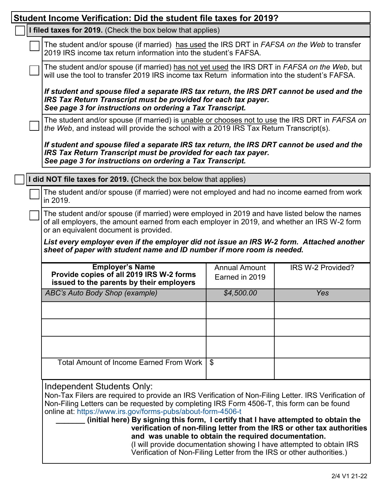| Student Income Verification: Did the student file taxes for 2019?                                                                                                                                                                                                                                                                                                                                                                                                                                                                                                                                                                                                        |                                                                                                                                                                                                |     |  |  |  |  |
|--------------------------------------------------------------------------------------------------------------------------------------------------------------------------------------------------------------------------------------------------------------------------------------------------------------------------------------------------------------------------------------------------------------------------------------------------------------------------------------------------------------------------------------------------------------------------------------------------------------------------------------------------------------------------|------------------------------------------------------------------------------------------------------------------------------------------------------------------------------------------------|-----|--|--|--|--|
| I filed taxes for 2019. (Check the box below that applies)                                                                                                                                                                                                                                                                                                                                                                                                                                                                                                                                                                                                               |                                                                                                                                                                                                |     |  |  |  |  |
| The student and/or spouse (if married) has used the IRS DRT in FAFSA on the Web to transfer<br>2019 IRS income tax return information into the student's FAFSA.                                                                                                                                                                                                                                                                                                                                                                                                                                                                                                          |                                                                                                                                                                                                |     |  |  |  |  |
|                                                                                                                                                                                                                                                                                                                                                                                                                                                                                                                                                                                                                                                                          | The student and/or spouse (if married) has not yet used the IRS DRT in FAFSA on the Web, but<br>will use the tool to transfer 2019 IRS income tax Return information into the student's FAFSA. |     |  |  |  |  |
| If student and spouse filed a separate IRS tax return, the IRS DRT cannot be used and the<br>IRS Tax Return Transcript must be provided for each tax payer.<br>See page 3 for instructions on ordering a Tax Transcript.                                                                                                                                                                                                                                                                                                                                                                                                                                                 |                                                                                                                                                                                                |     |  |  |  |  |
| The student and/or spouse (if married) is unable or chooses not to use the IRS DRT in FAFSA on<br>the Web, and instead will provide the school with a 2019 IRS Tax Return Transcript(s).                                                                                                                                                                                                                                                                                                                                                                                                                                                                                 |                                                                                                                                                                                                |     |  |  |  |  |
| If student and spouse filed a separate IRS tax return, the IRS DRT cannot be used and the<br>IRS Tax Return Transcript must be provided for each tax payer.<br>See page 3 for instructions on ordering a Tax Transcript.                                                                                                                                                                                                                                                                                                                                                                                                                                                 |                                                                                                                                                                                                |     |  |  |  |  |
| did NOT file taxes for 2019. (Check the box below that applies)                                                                                                                                                                                                                                                                                                                                                                                                                                                                                                                                                                                                          |                                                                                                                                                                                                |     |  |  |  |  |
| The student and/or spouse (if married) were not employed and had no income earned from work<br>in 2019.                                                                                                                                                                                                                                                                                                                                                                                                                                                                                                                                                                  |                                                                                                                                                                                                |     |  |  |  |  |
| The student and/or spouse (if married) were employed in 2019 and have listed below the names<br>of all employers, the amount earned from each employer in 2019, and whether an IRS W-2 form<br>or an equivalent document is provided.                                                                                                                                                                                                                                                                                                                                                                                                                                    |                                                                                                                                                                                                |     |  |  |  |  |
| List every employer even if the employer did not issue an IRS W-2 form. Attached another<br>sheet of paper with student name and ID number if more room is needed.                                                                                                                                                                                                                                                                                                                                                                                                                                                                                                       |                                                                                                                                                                                                |     |  |  |  |  |
| <b>Employer's Name</b><br><b>Annual Amount</b><br>IRS W-2 Provided?<br>Provide copies of all 2019 IRS W-2 forms<br>Earned in 2019<br>issued to the parents by their employers                                                                                                                                                                                                                                                                                                                                                                                                                                                                                            |                                                                                                                                                                                                |     |  |  |  |  |
| ABC's Auto Body Shop (example)                                                                                                                                                                                                                                                                                                                                                                                                                                                                                                                                                                                                                                           | \$4,500.00                                                                                                                                                                                     | Yes |  |  |  |  |
|                                                                                                                                                                                                                                                                                                                                                                                                                                                                                                                                                                                                                                                                          |                                                                                                                                                                                                |     |  |  |  |  |
|                                                                                                                                                                                                                                                                                                                                                                                                                                                                                                                                                                                                                                                                          |                                                                                                                                                                                                |     |  |  |  |  |
|                                                                                                                                                                                                                                                                                                                                                                                                                                                                                                                                                                                                                                                                          |                                                                                                                                                                                                |     |  |  |  |  |
| Total Amount of Income Earned From Work                                                                                                                                                                                                                                                                                                                                                                                                                                                                                                                                                                                                                                  | l \$                                                                                                                                                                                           |     |  |  |  |  |
| Independent Students Only:<br>Non-Tax Filers are required to provide an IRS Verification of Non-Filing Letter. IRS Verification of<br>Non-Filing Letters can be requested by completing IRS Form 4506-T, this form can be found<br>online at: https://www.irs.gov/forms-pubs/about-form-4506-t<br>(initial here) By signing this form, I certify that I have attempted to obtain the<br>verification of non-filing letter from the IRS or other tax authorities<br>and was unable to obtain the required documentation.<br>(I will provide documentation showing I have attempted to obtain IRS<br>Verification of Non-Filing Letter from the IRS or other authorities.) |                                                                                                                                                                                                |     |  |  |  |  |
|                                                                                                                                                                                                                                                                                                                                                                                                                                                                                                                                                                                                                                                                          |                                                                                                                                                                                                |     |  |  |  |  |

Г

ī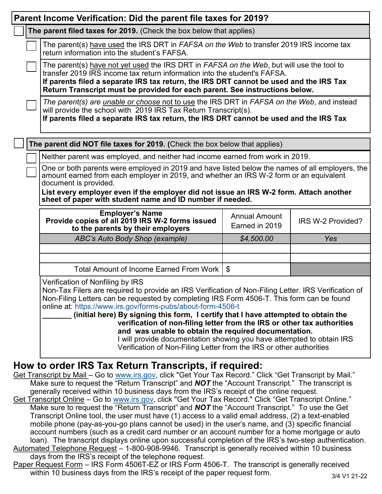| Parent Income Verification: Did the parent file taxes for 2019?                                                                                                                                                                                                                                                                                                          |                                                                                                                                                                                                                                                                                                                                                                                                                                                                                                                                                                                                                                                                               |                                        |                   |  |  |  |
|--------------------------------------------------------------------------------------------------------------------------------------------------------------------------------------------------------------------------------------------------------------------------------------------------------------------------------------------------------------------------|-------------------------------------------------------------------------------------------------------------------------------------------------------------------------------------------------------------------------------------------------------------------------------------------------------------------------------------------------------------------------------------------------------------------------------------------------------------------------------------------------------------------------------------------------------------------------------------------------------------------------------------------------------------------------------|----------------------------------------|-------------------|--|--|--|
|                                                                                                                                                                                                                                                                                                                                                                          | The parent filed taxes for 2019. (Check the box below that applies)                                                                                                                                                                                                                                                                                                                                                                                                                                                                                                                                                                                                           |                                        |                   |  |  |  |
|                                                                                                                                                                                                                                                                                                                                                                          | The parent(s) have used the IRS DRT in FAFSA on the Web to transfer 2019 IRS income tax<br>return information into the student's FAFSA.                                                                                                                                                                                                                                                                                                                                                                                                                                                                                                                                       |                                        |                   |  |  |  |
|                                                                                                                                                                                                                                                                                                                                                                          | The parent(s) have not yet used the IRS DRT in FAFSA on the Web, but will use the tool to<br>transfer 2019 IRS income tax return information into the student's FAFSA.<br>If parents filed a separate IRS tax return, the IRS DRT cannot be used and the IRS Tax<br>Return Transcript must be provided for each parent. See instructions below.                                                                                                                                                                                                                                                                                                                               |                                        |                   |  |  |  |
|                                                                                                                                                                                                                                                                                                                                                                          | The parent(s) are <i>unable or choose</i> not to use the IRS DRT in FAFSA on the Web, and instead<br>will provide the school with 2019 IRS Tax Return Transcript(s).<br>If parents filed a separate IRS tax return, the IRS DRT cannot be used and the IRS Tax                                                                                                                                                                                                                                                                                                                                                                                                                |                                        |                   |  |  |  |
|                                                                                                                                                                                                                                                                                                                                                                          | The parent did NOT file taxes for 2019. (Check the box below that applies)                                                                                                                                                                                                                                                                                                                                                                                                                                                                                                                                                                                                    |                                        |                   |  |  |  |
|                                                                                                                                                                                                                                                                                                                                                                          | Neither parent was employed, and neither had income earned from work in 2019.                                                                                                                                                                                                                                                                                                                                                                                                                                                                                                                                                                                                 |                                        |                   |  |  |  |
|                                                                                                                                                                                                                                                                                                                                                                          | One or both parents were employed in 2019 and have listed below the names of all employers, the<br>amount earned from each employer in 2019, and whether an IRS W-2 form or an equivalent<br>document is provided.                                                                                                                                                                                                                                                                                                                                                                                                                                                            |                                        |                   |  |  |  |
|                                                                                                                                                                                                                                                                                                                                                                          | List every employer even if the employer did not issue an IRS W-2 form. Attach another<br>sheet of paper with student name and ID number if needed.                                                                                                                                                                                                                                                                                                                                                                                                                                                                                                                           |                                        |                   |  |  |  |
|                                                                                                                                                                                                                                                                                                                                                                          | <b>Employer's Name</b><br>Provide copies of all 2019 IRS W-2 forms issued<br>to the parents by their employers                                                                                                                                                                                                                                                                                                                                                                                                                                                                                                                                                                | <b>Annual Amount</b><br>Earned in 2019 | IRS W-2 Provided? |  |  |  |
|                                                                                                                                                                                                                                                                                                                                                                          | ABC's Auto Body Shop (example)                                                                                                                                                                                                                                                                                                                                                                                                                                                                                                                                                                                                                                                | \$4,500.00                             | Yes               |  |  |  |
|                                                                                                                                                                                                                                                                                                                                                                          |                                                                                                                                                                                                                                                                                                                                                                                                                                                                                                                                                                                                                                                                               |                                        |                   |  |  |  |
|                                                                                                                                                                                                                                                                                                                                                                          | Total Amount of Income Earned From Work                                                                                                                                                                                                                                                                                                                                                                                                                                                                                                                                                                                                                                       | $\mathfrak{S}$                         |                   |  |  |  |
|                                                                                                                                                                                                                                                                                                                                                                          | Verification of Nonfiling by IRS<br>Non-Tax Filers are required to provide an IRS Verification of Non-Filing Letter. IRS Verification of<br>Non-Filing Letters can be requested by completing IRS Form 4506-T. This form can be found<br>online at: https://www.irs.gov/forms-pubs/about-form-4506-t<br>(initial here) By signing this form, I certify that I have attempted to obtain the<br>verification of non-filing letter from the IRS or other tax authorities<br>and was unable to obtain the required documentation.<br>I will provide documentation showing you have attempted to obtain IRS<br>Verification of Non-Filing Letter from the IRS or other authorities |                                        |                   |  |  |  |
| How to order IRS Tax Return Transcripts, if required:<br>Get Transcript by Mail - Go to www.irs.gov, click "Get Your Tax Record." Click "Get Transcript by Mail."<br>Make sure to request the "Return Transcript" and <b>NOT</b> the "Account Transcript." The transcript is<br>generally received within 10 business days from the IRS's receipt of the online request. |                                                                                                                                                                                                                                                                                                                                                                                                                                                                                                                                                                                                                                                                               |                                        |                   |  |  |  |

- Get Transcript Online Go to [www.irs.gov,](http://www.irs.gov) click "Get Your Tax Record." Click "Get Transcript Online." Make sure to request the "Return Transcript" and *NOT* the "Account Transcript." To use the Get Transcript Online tool, the user must have (1) access to a valid email address, (2) a text-enabled mobile phone (pay-as-you-go plans cannot be used) in the user's name, and (3) specific financial account numbers (such as a credit card number or an account number for a home mortgage or auto loan). The transcript displays online upon successful completion of the IRS's two-step authentication. Automated Telephone Request – 1-800-908-9946. Transcript is generally received within 10 business
- days from the IRS's receipt of the telephone request.
- Paper Request Form IRS Form 4506T-EZ or IRS Form 4506-T. The transcript is generally received within 10 business days from the IRS's receipt of the paper request form.